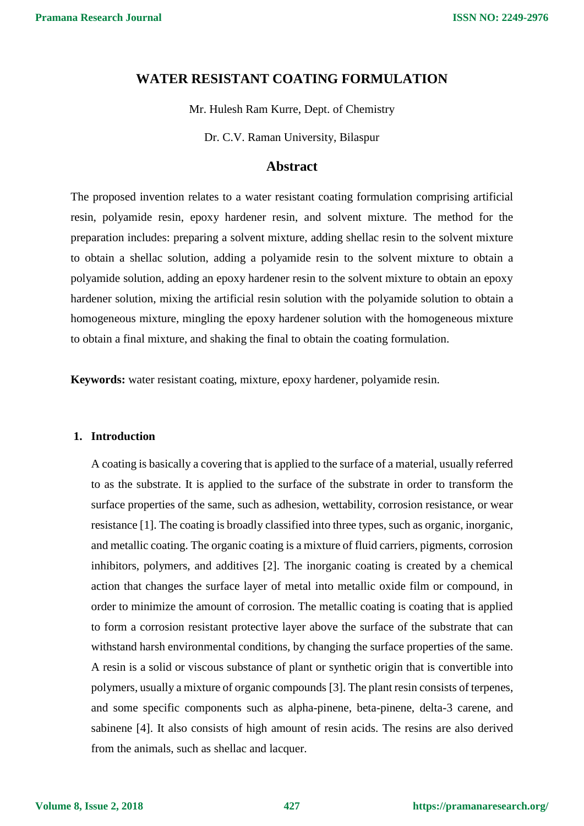# **WATER RESISTANT COATING FORMULATION**

Mr. Hulesh Ram Kurre, Dept. of Chemistry

Dr. C.V. Raman University, Bilaspur

## **Abstract**

The proposed invention relates to a water resistant coating formulation comprising artificial resin, polyamide resin, epoxy hardener resin, and solvent mixture. The method for the preparation includes: preparing a solvent mixture, adding shellac resin to the solvent mixture to obtain a shellac solution, adding a polyamide resin to the solvent mixture to obtain a polyamide solution, adding an epoxy hardener resin to the solvent mixture to obtain an epoxy hardener solution, mixing the artificial resin solution with the polyamide solution to obtain a homogeneous mixture, mingling the epoxy hardener solution with the homogeneous mixture to obtain a final mixture, and shaking the final to obtain the coating formulation.

**Keywords:** water resistant coating, mixture, epoxy hardener, polyamide resin.

### **1. Introduction**

A coating is basically a covering that is applied to the surface of a material, usually referred to as the substrate. It is applied to the surface of the substrate in order to transform the surface properties of the same, such as adhesion, wettability, corrosion resistance, or wear resistance [1]. The coating is broadly classified into three types, such as organic, inorganic, and metallic coating. The organic coating is a mixture of fluid carriers, pigments, corrosion inhibitors, polymers, and additives [2]. The inorganic coating is created by a chemical action that changes the surface layer of metal into metallic oxide film or compound, in order to minimize the amount of corrosion. The metallic coating is coating that is applied to form a corrosion resistant protective layer above the surface of the substrate that can withstand harsh environmental conditions, by changing the surface properties of the same. A resin is a solid or viscous substance of plant or synthetic origin that is convertible into polymers, usually a mixture of organic compounds [3]. The plant resin consists of terpenes, and some specific components such as alpha-pinene, beta-pinene, delta-3 carene, and sabinene [4]. It also consists of high amount of resin acids. The resins are also derived from the animals, such as shellac and lacquer.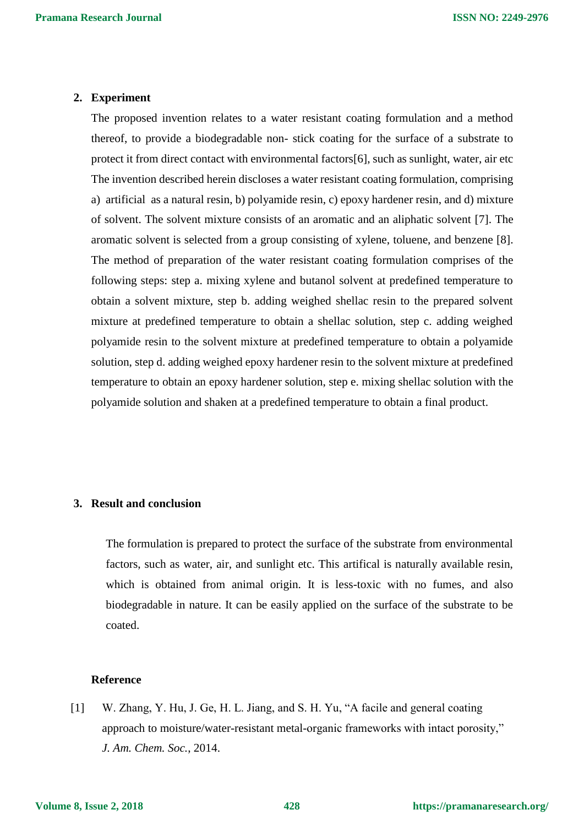### **2. Experiment**

The proposed invention relates to a water resistant coating formulation and a method thereof, to provide a biodegradable non- stick coating for the surface of a substrate to protect it from direct contact with environmental factors[6], such as sunlight, water, air etc The invention described herein discloses a water resistant coating formulation, comprising a) artificial as a natural resin, b) polyamide resin, c) epoxy hardener resin, and d) mixture of solvent. The solvent mixture consists of an aromatic and an aliphatic solvent [7]. The aromatic solvent is selected from a group consisting of xylene, toluene, and benzene [8]. The method of preparation of the water resistant coating formulation comprises of the following steps: step a. mixing xylene and butanol solvent at predefined temperature to obtain a solvent mixture, step b. adding weighed shellac resin to the prepared solvent mixture at predefined temperature to obtain a shellac solution, step c. adding weighed polyamide resin to the solvent mixture at predefined temperature to obtain a polyamide solution, step d. adding weighed epoxy hardener resin to the solvent mixture at predefined temperature to obtain an epoxy hardener solution, step e. mixing shellac solution with the polyamide solution and shaken at a predefined temperature to obtain a final product.

#### **3. Result and conclusion**

The formulation is prepared to protect the surface of the substrate from environmental factors, such as water, air, and sunlight etc. This artifical is naturally available resin, which is obtained from animal origin. It is less-toxic with no fumes, and also biodegradable in nature. It can be easily applied on the surface of the substrate to be coated.

#### **Reference**

[1] W. Zhang, Y. Hu, J. Ge, H. L. Jiang, and S. H. Yu, "A facile and general coating approach to moisture/water-resistant metal-organic frameworks with intact porosity," *J. Am. Chem. Soc.*, 2014.